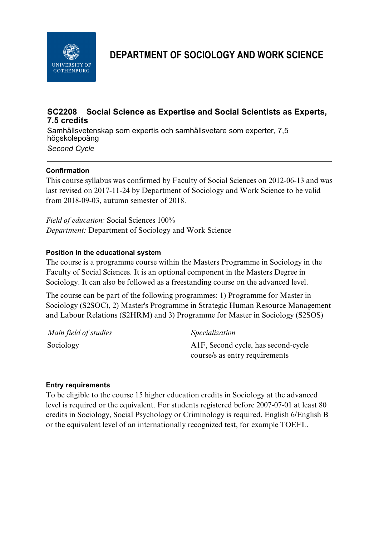

**DEPARTMENT OF SOCIOLOGY AND WORK SCIENCE**

# **SC2208 Social Science as Expertise and Social Scientists as Experts, 7.5 credits**

Samhällsvetenskap som expertis och samhällsvetare som experter, 7,5 högskolepoäng *Second Cycle*

## **Confirmation**

This course syllabus was confirmed by Faculty of Social Sciences on 2012-06-13 and was last revised on 2017-11-24 by Department of Sociology and Work Science to be valid from 2018-09-03, autumn semester of 2018.

*Field of education:* Social Sciences 100% *Department:* Department of Sociology and Work Science

## **Position in the educational system**

The course is a programme course within the Masters Programme in Sociology in the Faculty of Social Sciences. It is an optional component in the Masters Degree in Sociology. It can also be followed as a freestanding course on the advanced level.

The course can be part of the following programmes: 1) Programme for Master in Sociology (S2SOC), 2) Master's Programme in Strategic Human Resource Management and Labour Relations (S2HRM) and 3) Programme for Master in Sociology (S2SOS)

| Main field of studies | <i>Specialization</i>                            |
|-----------------------|--------------------------------------------------|
| Sociology             | A <sub>1</sub> F, Second cycle, has second-cycle |
|                       | course/s as entry requirements                   |

### **Entry requirements**

To be eligible to the course 15 higher education credits in Sociology at the advanced level is required or the equivalent. For students registered before 2007-07-01 at least 80 credits in Sociology, Social Psychology or Criminology is required. English 6/English B or the equivalent level of an internationally recognized test, for example TOEFL.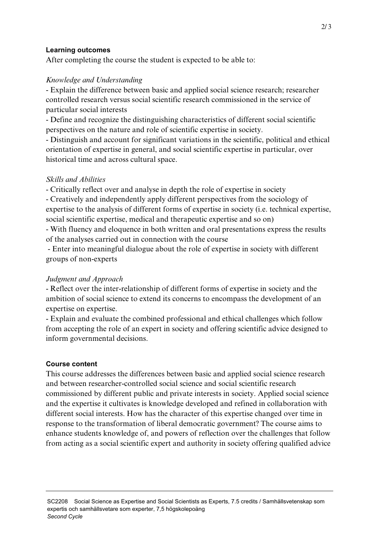### **Learning outcomes**

After completing the course the student is expected to be able to:

# *Knowledge and Understanding*

- Explain the difference between basic and applied social science research; researcher controlled research versus social scientific research commissioned in the service of particular social interests

- Define and recognize the distinguishing characteristics of different social scientific perspectives on the nature and role of scientific expertise in society.

- Distinguish and account for significant variations in the scientific, political and ethical orientation of expertise in general, and social scientific expertise in particular, over historical time and across cultural space.

## *Skills and Abilities*

- Critically reflect over and analyse in depth the role of expertise in society

- Creatively and independently apply different perspectives from the sociology of expertise to the analysis of different forms of expertise in society (i.e. technical expertise, social scientific expertise, medical and therapeutic expertise and so on)

- With fluency and eloquence in both written and oral presentations express the results of the analyses carried out in connection with the course

 - Enter into meaningful dialogue about the role of expertise in society with different groups of non-experts

# *Judgment and Approach*

- Reflect over the inter-relationship of different forms of expertise in society and the ambition of social science to extend its concerns to encompass the development of an expertise on expertise.

- Explain and evaluate the combined professional and ethical challenges which follow from accepting the role of an expert in society and offering scientific advice designed to inform governmental decisions.

# **Course content**

This course addresses the differences between basic and applied social science research and between researcher-controlled social science and social scientific research commissioned by different public and private interests in society. Applied social science and the expertise it cultivates is knowledge developed and refined in collaboration with different social interests. How has the character of this expertise changed over time in response to the transformation of liberal democratic government? The course aims to enhance students knowledge of, and powers of reflection over the challenges that follow from acting as a social scientific expert and authority in society offering qualified advice